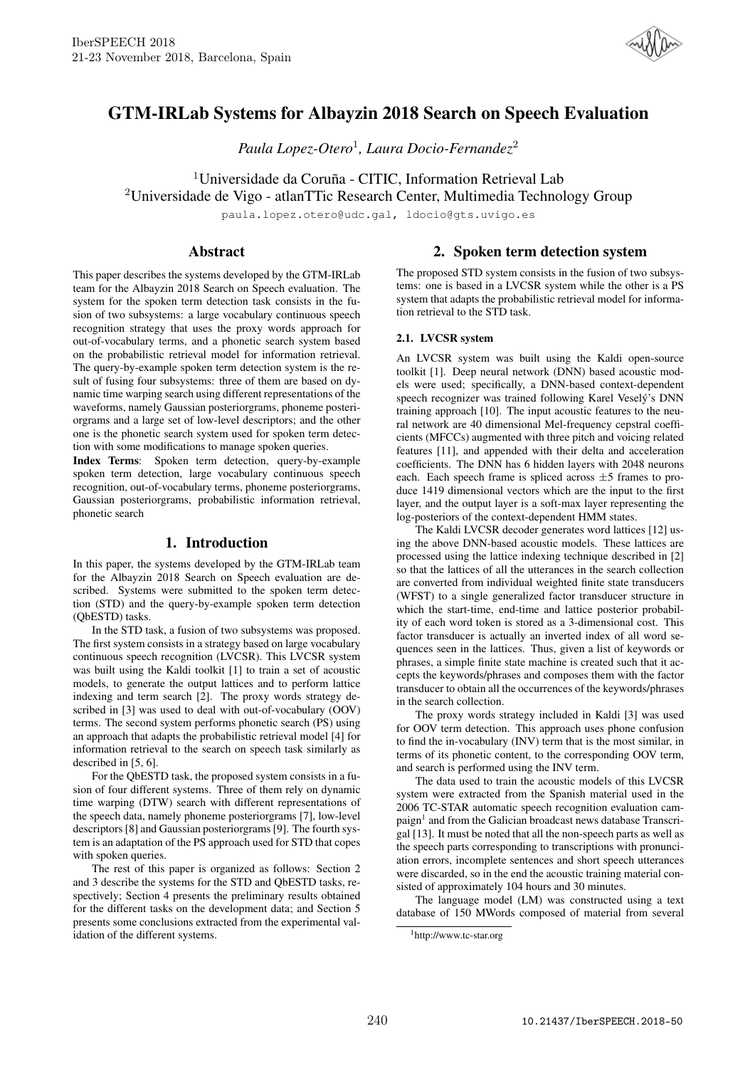

# GTM-IRLab Systems for Albayzin 2018 Search on Speech Evaluation

*Paula Lopez-Otero*<sup>1</sup> *, Laura Docio-Fernandez*<sup>2</sup>

<sup>1</sup>Universidade da Coruña - CITIC, Information Retrieval Lab <sup>2</sup>Universidade de Vigo - atlanTTic Research Center, Multimedia Technology Group

paula.lopez.otero@udc.gal, ldocio@gts.uvigo.es

## Abstract

This paper describes the systems developed by the GTM-IRLab team for the Albayzin 2018 Search on Speech evaluation. The system for the spoken term detection task consists in the fusion of two subsystems: a large vocabulary continuous speech recognition strategy that uses the proxy words approach for out-of-vocabulary terms, and a phonetic search system based on the probabilistic retrieval model for information retrieval. The query-by-example spoken term detection system is the result of fusing four subsystems: three of them are based on dynamic time warping search using different representations of the waveforms, namely Gaussian posteriorgrams, phoneme posteriorgrams and a large set of low-level descriptors; and the other one is the phonetic search system used for spoken term detection with some modifications to manage spoken queries.

Index Terms: Spoken term detection, query-by-example spoken term detection, large vocabulary continuous speech recognition, out-of-vocabulary terms, phoneme posteriorgrams, Gaussian posteriorgrams, probabilistic information retrieval, phonetic search

## 1. Introduction

In this paper, the systems developed by the GTM-IRLab team for the Albayzin 2018 Search on Speech evaluation are described. Systems were submitted to the spoken term detection (STD) and the query-by-example spoken term detection (QbESTD) tasks.

In the STD task, a fusion of two subsystems was proposed. The first system consists in a strategy based on large vocabulary continuous speech recognition (LVCSR). This LVCSR system was built using the Kaldi toolkit [1] to train a set of acoustic models, to generate the output lattices and to perform lattice indexing and term search [2]. The proxy words strategy described in [3] was used to deal with out-of-vocabulary (OOV) terms. The second system performs phonetic search (PS) using an approach that adapts the probabilistic retrieval model [4] for information retrieval to the search on speech task similarly as described in [5, 6].

For the QbESTD task, the proposed system consists in a fusion of four different systems. Three of them rely on dynamic time warping (DTW) search with different representations of the speech data, namely phoneme posteriorgrams [7], low-level descriptors [8] and Gaussian posteriorgrams [9]. The fourth system is an adaptation of the PS approach used for STD that copes with spoken queries.

The rest of this paper is organized as follows: Section 2 and 3 describe the systems for the STD and QbESTD tasks, respectively; Section 4 presents the preliminary results obtained for the different tasks on the development data; and Section 5 presents some conclusions extracted from the experimental validation of the different systems.

## 2. Spoken term detection system

The proposed STD system consists in the fusion of two subsystems: one is based in a LVCSR system while the other is a PS system that adapts the probabilistic retrieval model for information retrieval to the STD task.

## 2.1. LVCSR system

An LVCSR system was built using the Kaldi open-source toolkit [1]. Deep neural network (DNN) based acoustic models were used; specifically, a DNN-based context-dependent speech recognizer was trained following Karel Veselý's DNN training approach [10]. The input acoustic features to the neural network are 40 dimensional Mel-frequency cepstral coefficients (MFCCs) augmented with three pitch and voicing related features [11], and appended with their delta and acceleration coefficients. The DNN has 6 hidden layers with 2048 neurons each. Each speech frame is spliced across  $\pm$ 5 frames to produce 1419 dimensional vectors which are the input to the first layer, and the output layer is a soft-max layer representing the log-posteriors of the context-dependent HMM states.

The Kaldi LVCSR decoder generates word lattices [12] using the above DNN-based acoustic models. These lattices are processed using the lattice indexing technique described in [2] so that the lattices of all the utterances in the search collection are converted from individual weighted finite state transducers (WFST) to a single generalized factor transducer structure in which the start-time, end-time and lattice posterior probability of each word token is stored as a 3-dimensional cost. This factor transducer is actually an inverted index of all word sequences seen in the lattices. Thus, given a list of keywords or phrases, a simple finite state machine is created such that it accepts the keywords/phrases and composes them with the factor transducer to obtain all the occurrences of the keywords/phrases in the search collection.

The proxy words strategy included in Kaldi [3] was used for OOV term detection. This approach uses phone confusion to find the in-vocabulary (INV) term that is the most similar, in terms of its phonetic content, to the corresponding OOV term, and search is performed using the INV term.

The data used to train the acoustic models of this LVCSR system were extracted from the Spanish material used in the 2006 TC-STAR automatic speech recognition evaluation campaign<sup>1</sup> and from the Galician broadcast news database Transcrigal [13]. It must be noted that all the non-speech parts as well as the speech parts corresponding to transcriptions with pronunciation errors, incomplete sentences and short speech utterances were discarded, so in the end the acoustic training material consisted of approximately 104 hours and 30 minutes.

The language model (LM) was constructed using a text database of 150 MWords composed of material from several

<sup>1</sup>http://www.tc-star.org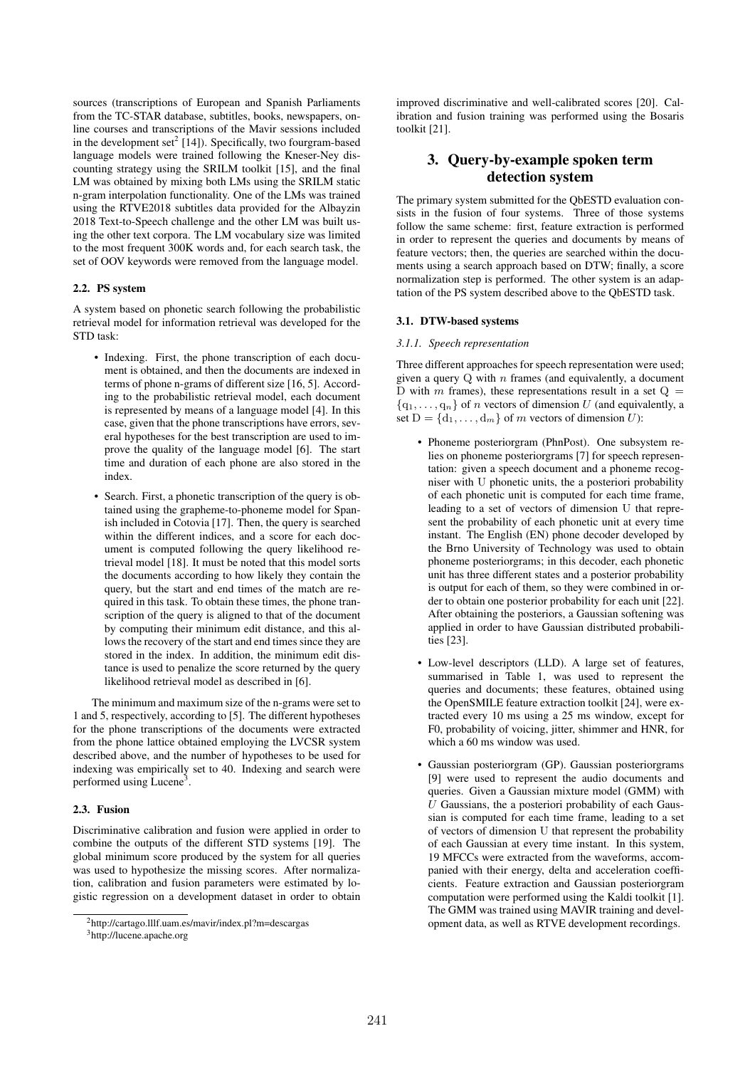sources (transcriptions of European and Spanish Parliaments from the TC-STAR database, subtitles, books, newspapers, online courses and transcriptions of the Mavir sessions included in the development set $2$  [14]). Specifically, two fourgram-based language models were trained following the Kneser-Ney discounting strategy using the SRILM toolkit [15], and the final LM was obtained by mixing both LMs using the SRILM static n-gram interpolation functionality. One of the LMs was trained using the RTVE2018 subtitles data provided for the Albayzin 2018 Text-to-Speech challenge and the other LM was built using the other text corpora. The LM vocabulary size was limited to the most frequent 300K words and, for each search task, the set of OOV keywords were removed from the language model.

### 2.2. PS system

A system based on phonetic search following the probabilistic retrieval model for information retrieval was developed for the STD task:

- Indexing. First, the phone transcription of each document is obtained, and then the documents are indexed in terms of phone n-grams of different size [16, 5]. According to the probabilistic retrieval model, each document is represented by means of a language model [4]. In this case, given that the phone transcriptions have errors, several hypotheses for the best transcription are used to improve the quality of the language model [6]. The start time and duration of each phone are also stored in the index.
- Search. First, a phonetic transcription of the query is obtained using the grapheme-to-phoneme model for Spanish included in Cotovia [17]. Then, the query is searched within the different indices, and a score for each document is computed following the query likelihood retrieval model [18]. It must be noted that this model sorts the documents according to how likely they contain the query, but the start and end times of the match are required in this task. To obtain these times, the phone transcription of the query is aligned to that of the document by computing their minimum edit distance, and this allows the recovery of the start and end times since they are stored in the index. In addition, the minimum edit distance is used to penalize the score returned by the query likelihood retrieval model as described in [6].

The minimum and maximum size of the n-grams were set to 1 and 5, respectively, according to [5]. The different hypotheses for the phone transcriptions of the documents were extracted from the phone lattice obtained employing the LVCSR system described above, and the number of hypotheses to be used for indexing was empirically set to 40. Indexing and search were performed using Lucene<sup>3</sup>.

### 2.3. Fusion

Discriminative calibration and fusion were applied in order to combine the outputs of the different STD systems [19]. The global minimum score produced by the system for all queries was used to hypothesize the missing scores. After normalization, calibration and fusion parameters were estimated by logistic regression on a development dataset in order to obtain improved discriminative and well-calibrated scores [20]. Calibration and fusion training was performed using the Bosaris toolkit [21].

## 3. Query-by-example spoken term detection system

The primary system submitted for the QbESTD evaluation consists in the fusion of four systems. Three of those systems follow the same scheme: first, feature extraction is performed in order to represent the queries and documents by means of feature vectors; then, the queries are searched within the documents using a search approach based on DTW; finally, a score normalization step is performed. The other system is an adaptation of the PS system described above to the QbESTD task.

### 3.1. DTW-based systems

#### *3.1.1. Speech representation*

Three different approaches for speech representation were used; given a query  $Q$  with  $n$  frames (and equivalently, a document D with m frames), these representations result in a set  $Q =$  $\{q_1, \ldots, q_n\}$  of n vectors of dimension U (and equivalently, a set  $D = \{d_1, \ldots, d_m\}$  of m vectors of dimension U):

- Phoneme posteriorgram (PhnPost). One subsystem relies on phoneme posteriorgrams [7] for speech representation: given a speech document and a phoneme recogniser with U phonetic units, the a posteriori probability of each phonetic unit is computed for each time frame, leading to a set of vectors of dimension U that represent the probability of each phonetic unit at every time instant. The English (EN) phone decoder developed by the Brno University of Technology was used to obtain phoneme posteriorgrams; in this decoder, each phonetic unit has three different states and a posterior probability is output for each of them, so they were combined in order to obtain one posterior probability for each unit [22]. After obtaining the posteriors, a Gaussian softening was applied in order to have Gaussian distributed probabilities [23].
- Low-level descriptors (LLD). A large set of features, summarised in Table 1, was used to represent the queries and documents; these features, obtained using the OpenSMILE feature extraction toolkit [24], were extracted every 10 ms using a 25 ms window, except for F0, probability of voicing, jitter, shimmer and HNR, for which a 60 ms window was used.
- Gaussian posteriorgram (GP). Gaussian posteriorgrams [9] were used to represent the audio documents and queries. Given a Gaussian mixture model (GMM) with  $U$  Gaussians, the a posteriori probability of each Gaussian is computed for each time frame, leading to a set of vectors of dimension U that represent the probability of each Gaussian at every time instant. In this system, 19 MFCCs were extracted from the waveforms, accompanied with their energy, delta and acceleration coefficients. Feature extraction and Gaussian posteriorgram computation were performed using the Kaldi toolkit [1]. The GMM was trained using MAVIR training and development data, as well as RTVE development recordings.

<sup>2</sup>http://cartago.lllf.uam.es/mavir/index.pl?m=descargas

<sup>3</sup>http://lucene.apache.org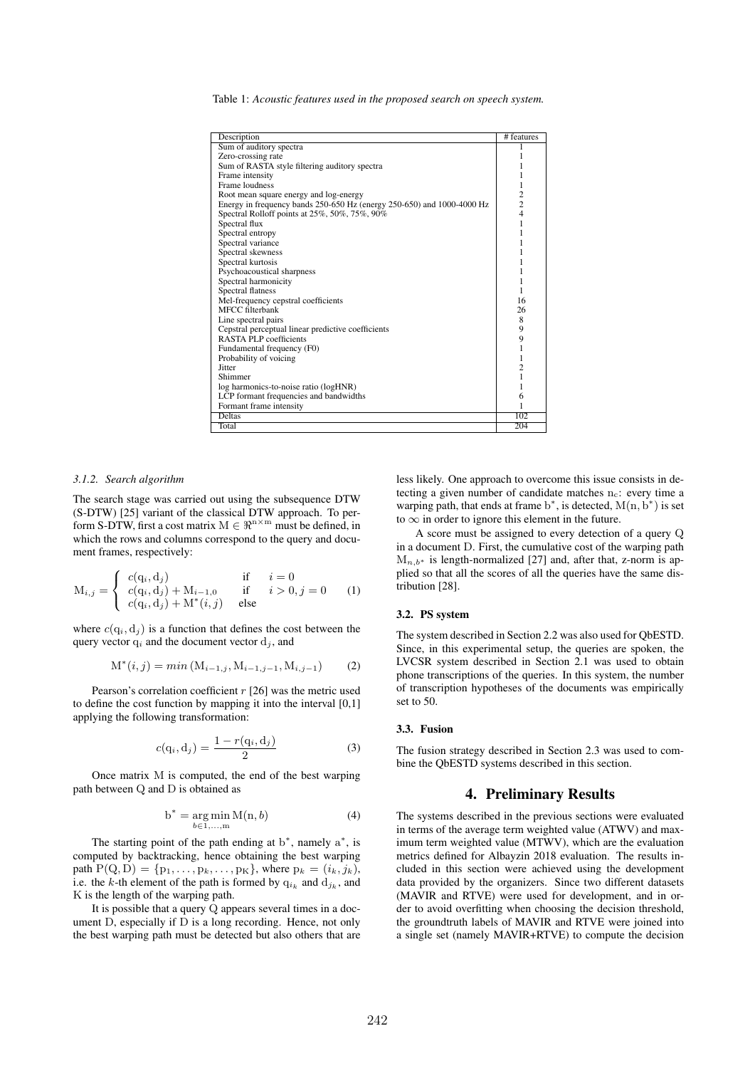Table 1: *Acoustic features used in the proposed search on speech system.*

| Description                                                            | # features     |
|------------------------------------------------------------------------|----------------|
| Sum of auditory spectra                                                |                |
| Zero-crossing rate                                                     |                |
| Sum of RASTA style filtering auditory spectra                          |                |
| Frame intensity                                                        |                |
| Frame loudness                                                         |                |
|                                                                        | 1              |
| Root mean square energy and log-energy                                 | $\overline{c}$ |
| Energy in frequency bands 250-650 Hz (energy 250-650) and 1000-4000 Hz | $\overline{c}$ |
| Spectral Rolloff points at 25%, 50%, 75%, 90%                          | $\overline{4}$ |
| Spectral flux                                                          | 1              |
| Spectral entropy                                                       | 1              |
| Spectral variance                                                      |                |
| Spectral skewness                                                      |                |
| Spectral kurtosis                                                      |                |
| Psychoacoustical sharpness                                             |                |
| Spectral harmonicity                                                   |                |
| Spectral flatness                                                      |                |
| Mel-frequency cepstral coefficients                                    | 16             |
| <b>MFCC</b> filterbank                                                 | 26             |
| Line spectral pairs                                                    | 8              |
| Cepstral perceptual linear predictive coefficients                     | 9              |
| RASTA PLP coefficients                                                 | 9              |
| Fundamental frequency (F0)                                             | 1              |
| Probability of voicing                                                 | 1              |
| Jitter                                                                 | $\overline{c}$ |
| Shimmer                                                                | 1              |
| log harmonics-to-noise ratio (logHNR)                                  | 1              |
| LCP formant frequencies and bandwidths                                 | 6              |
| Formant frame intensity                                                |                |
| <b>Deltas</b>                                                          | 102            |
| Total                                                                  | 204            |
|                                                                        |                |

#### *3.1.2. Search algorithm*

The search stage was carried out using the subsequence DTW (S-DTW) [25] variant of the classical DTW approach. To perform S-DTW, first a cost matrix  $M \in \mathbb{R}^{n \times m}$  must be defined, in which the rows and columns correspond to the query and document frames, respectively:

$$
M_{i,j} = \begin{cases} c(q_i, d_j) & \text{if } i = 0\\ c(q_i, d_j) + M_{i-1,0} & \text{if } i > 0, j = 0\\ c(q_i, d_j) + M^*(i, j) & \text{else} \end{cases}
$$
 (1)

where  $c(q_i, d_j)$  is a function that defines the cost between the query vector  $q_i$  and the document vector  $d_j$ , and

$$
M^*(i, j) = min (M_{i-1,j}, M_{i-1,j-1}, M_{i,j-1})
$$
 (2)

Pearson's correlation coefficient  $r$  [26] was the metric used to define the cost function by mapping it into the interval [0,1] applying the following transformation:

$$
c(q_i, d_j) = \frac{1 - r(q_i, d_j)}{2}
$$
 (3)

Once matrix M is computed, the end of the best warping path between Q and D is obtained as

$$
b^* = \underset{b \in 1,\dots,m}{\arg\min} M(n,b) \tag{4}
$$

The starting point of the path ending at  $b^*$ , namely  $a^*$ , is computed by backtracking, hence obtaining the best warping path  $P(Q, D) = \{p_1, \ldots, p_k, \ldots, p_K\}$ , where  $p_k = (i_k, j_k)$ , i.e. the k-th element of the path is formed by  $q_{i_k}$  and  $d_{j_k}$ , and K is the length of the warping path.

It is possible that a query Q appears several times in a document D, especially if D is a long recording. Hence, not only the best warping path must be detected but also others that are less likely. One approach to overcome this issue consists in detecting a given number of candidate matches  $n_c$ : every time a warping path, that ends at frame  $b^*$ , is detected,  $M(n, b^*)$  is set to  $\infty$  in order to ignore this element in the future.

A score must be assigned to every detection of a query Q in a document D. First, the cumulative cost of the warping path  $M_{n,b*}$  is length-normalized [27] and, after that, z-norm is applied so that all the scores of all the queries have the same distribution [28].

#### 3.2. PS system

The system described in Section 2.2 was also used for QbESTD. Since, in this experimental setup, the queries are spoken, the LVCSR system described in Section 2.1 was used to obtain phone transcriptions of the queries. In this system, the number of transcription hypotheses of the documents was empirically set to 50.

#### 3.3. Fusion

The fusion strategy described in Section 2.3 was used to combine the QbESTD systems described in this section.

### 4. Preliminary Results

The systems described in the previous sections were evaluated in terms of the average term weighted value (ATWV) and maximum term weighted value (MTWV), which are the evaluation metrics defined for Albayzin 2018 evaluation. The results included in this section were achieved using the development data provided by the organizers. Since two different datasets (MAVIR and RTVE) were used for development, and in order to avoid overfitting when choosing the decision threshold, the groundtruth labels of MAVIR and RTVE were joined into a single set (namely MAVIR+RTVE) to compute the decision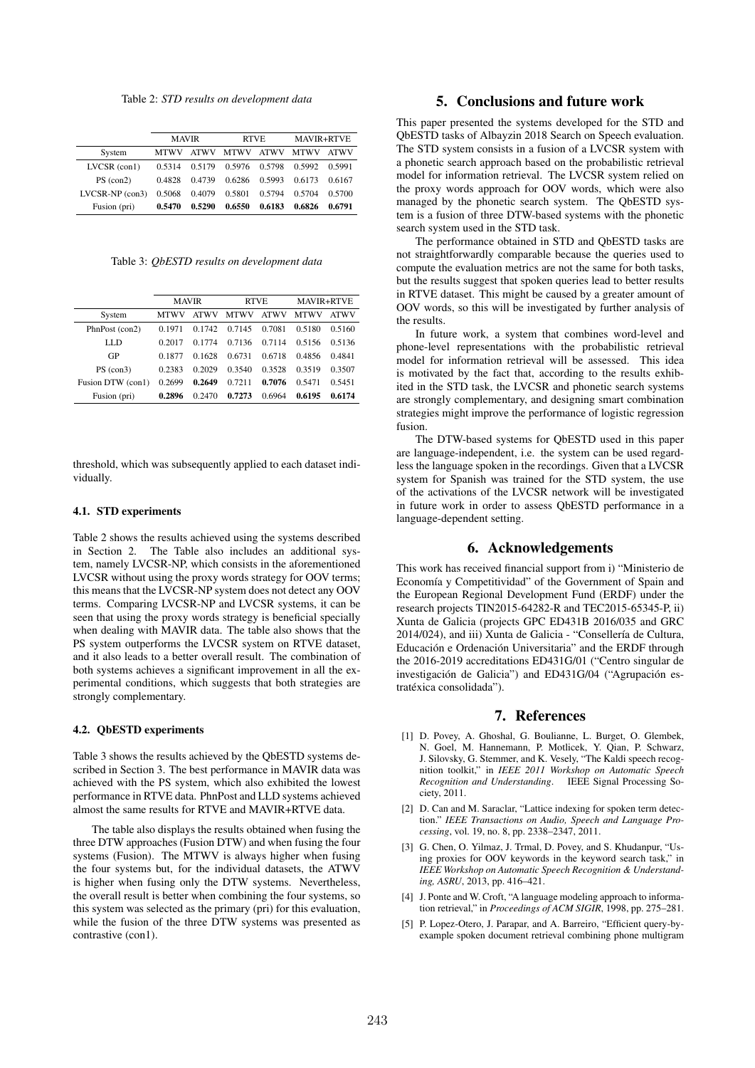Table 2: *STD results on development data*

|                   | <b>MAVIR</b> |             | <b>RTVE</b> |             | <b>MAVIR+RTVE</b> |             |
|-------------------|--------------|-------------|-------------|-------------|-------------------|-------------|
| System            | <b>MTWV</b>  | <b>ATWV</b> | <b>MTWV</b> | <b>ATWV</b> | <b>MTWV</b>       | <b>ATWV</b> |
| $LVCSR$ (con1)    | 0.5314       | 0.5179      | 0.5976      | 0.5798      | 0.5992            | 0.5991      |
| PS (con2)         | 0.4828       | 0.4739      | 0.6286      | 0.5993      | 0.6173            | 0.6167      |
| $LVCSR-NP$ (con3) | 0.5068       | 0.4079      | 0.5801      | 0.5794      | 0.5704            | 0.5700      |
| Fusion (pri)      | 0.5470       | 0.5290      | 0.6550      | 0.6183      | 0.6826            | 0.6791      |

Table 3: *QbESTD results on development data*

|                   | <b>MAVIR</b> |             | <b>RTVE</b> |             | <b>MAVIR+RTVE</b> |             |
|-------------------|--------------|-------------|-------------|-------------|-------------------|-------------|
| System            | <b>MTWV</b>  | <b>ATWV</b> | <b>MTWV</b> | <b>ATWV</b> | MTWV              | <b>ATWV</b> |
| PhnPost (con2)    | 0.1971       | 0.1742      | 0.7145      | 0.7081      | 0.5180            | 0.5160      |
| LLD               | 0.2017       | 0.1774      | 0.7136      | 0.7114      | 0.5156            | 0.5136      |
| GP                | 0.1877       | 0.1628      | 0.6731      | 0.6718      | 0.4856            | 0.4841      |
| PS (con3)         | 0.2383       | 0.2029      | 0.3540      | 0.3528      | 0.3519            | 0.3507      |
| Fusion DTW (con1) | 0.2699       | 0.2649      | 0.7211      | 0.7076      | 0.5471            | 0.5451      |
| Fusion (pri)      | 0.2896       | 0.2470      | 0.7273      | 0.6964      | 0.6195            | 0.6174      |

threshold, which was subsequently applied to each dataset individually.

#### 4.1. STD experiments

Table 2 shows the results achieved using the systems described in Section 2. The Table also includes an additional system, namely LVCSR-NP, which consists in the aforementioned LVCSR without using the proxy words strategy for OOV terms; this means that the LVCSR-NP system does not detect any OOV terms. Comparing LVCSR-NP and LVCSR systems, it can be seen that using the proxy words strategy is beneficial specially when dealing with MAVIR data. The table also shows that the PS system outperforms the LVCSR system on RTVE dataset, and it also leads to a better overall result. The combination of both systems achieves a significant improvement in all the experimental conditions, which suggests that both strategies are strongly complementary.

### 4.2. QbESTD experiments

Table 3 shows the results achieved by the QbESTD systems described in Section 3. The best performance in MAVIR data was achieved with the PS system, which also exhibited the lowest performance in RTVE data. PhnPost and LLD systems achieved almost the same results for RTVE and MAVIR+RTVE data.

The table also displays the results obtained when fusing the three DTW approaches (Fusion DTW) and when fusing the four systems (Fusion). The MTWV is always higher when fusing the four systems but, for the individual datasets, the ATWV is higher when fusing only the DTW systems. Nevertheless, the overall result is better when combining the four systems, so this system was selected as the primary (pri) for this evaluation, while the fusion of the three DTW systems was presented as contrastive (con1).

## 5. Conclusions and future work

This paper presented the systems developed for the STD and QbESTD tasks of Albayzin 2018 Search on Speech evaluation. The STD system consists in a fusion of a LVCSR system with a phonetic search approach based on the probabilistic retrieval model for information retrieval. The LVCSR system relied on the proxy words approach for OOV words, which were also managed by the phonetic search system. The QbESTD system is a fusion of three DTW-based systems with the phonetic search system used in the STD task.

The performance obtained in STD and QbESTD tasks are not straightforwardly comparable because the queries used to compute the evaluation metrics are not the same for both tasks, but the results suggest that spoken queries lead to better results in RTVE dataset. This might be caused by a greater amount of OOV words, so this will be investigated by further analysis of the results.

In future work, a system that combines word-level and phone-level representations with the probabilistic retrieval model for information retrieval will be assessed. This idea is motivated by the fact that, according to the results exhibited in the STD task, the LVCSR and phonetic search systems are strongly complementary, and designing smart combination strategies might improve the performance of logistic regression fusion.

The DTW-based systems for QbESTD used in this paper are language-independent, i.e. the system can be used regardless the language spoken in the recordings. Given that a LVCSR system for Spanish was trained for the STD system, the use of the activations of the LVCSR network will be investigated in future work in order to assess QbESTD performance in a language-dependent setting.

## 6. Acknowledgements

This work has received financial support from i) "Ministerio de Economía y Competitividad" of the Government of Spain and the European Regional Development Fund (ERDF) under the research projects TIN2015-64282-R and TEC2015-65345-P, ii) Xunta de Galicia (projects GPC ED431B 2016/035 and GRC 2014/024), and iii) Xunta de Galicia - "Consellería de Cultura, Educación e Ordenación Universitaria" and the ERDF through the 2016-2019 accreditations ED431G/01 ("Centro singular de investigación de Galicia") and ED431G/04 ("Agrupación estratéxica consolidada").

#### 7. References

- [1] D. Povey, A. Ghoshal, G. Boulianne, L. Burget, O. Glembek, N. Goel, M. Hannemann, P. Motlicek, Y. Qian, P. Schwarz, J. Silovsky, G. Stemmer, and K. Vesely, "The Kaldi speech recognition toolkit," in *IEEE 2011 Workshop on Automatic Speech Recognition and Understanding*. IEEE Signal Processing Society, 2011.
- [2] D. Can and M. Saraclar, "Lattice indexing for spoken term detection." *IEEE Transactions on Audio, Speech and Language Processing*, vol. 19, no. 8, pp. 2338–2347, 2011.
- [3] G. Chen, O. Yilmaz, J. Trmal, D. Povey, and S. Khudanpur, "Using proxies for OOV keywords in the keyword search task," in *IEEE Workshop on Automatic Speech Recognition & Understanding, ASRU*, 2013, pp. 416–421.
- [4] J. Ponte and W. Croft, "A language modeling approach to information retrieval," in *Proceedings of ACM SIGIR*, 1998, pp. 275–281.
- [5] P. Lopez-Otero, J. Parapar, and A. Barreiro, "Efficient query-byexample spoken document retrieval combining phone multigram